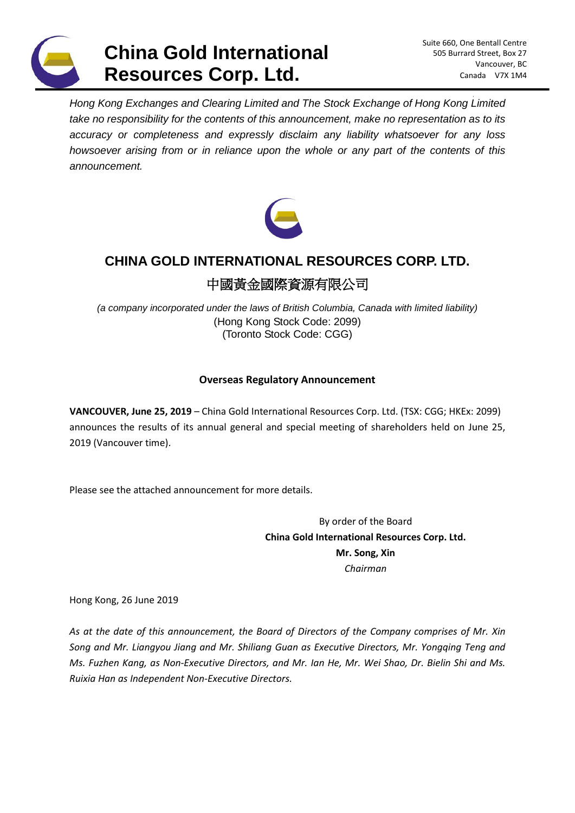

*Hong Kong Exchanges and Clearing Limited and The Stock Exchange of Hong Kong Limited take no responsibility for the contents of this announcement, make no representation as to its accuracy or completeness and expressly disclaim any liability whatsoever for any loss howsoever arising from or in reliance upon the whole or any part of the contents of this announcement.*



## **CHINA GOLD INTERNATIONAL RESOURCES CORP. LTD.**

# 中國黃金國際資源有限公司

*(a company incorporated under the laws of British Columbia, Canada with limited liability)* (Hong Kong Stock Code: 2099) (Toronto Stock Code: CGG)

## **Overseas Regulatory Announcement**

**VANCOUVER, June 25, 2019** – China Gold International Resources Corp. Ltd. (TSX: CGG; HKEx: 2099) announces the results of its annual general and special meeting of shareholders held on June 25, 2019 (Vancouver time).

Please see the attached announcement for more details.

By order of the Board **China Gold International Resources Corp. Ltd. Mr. Song, Xin** *Chairman*

Hong Kong, 26 June 2019

*As at the date of this announcement, the Board of Directors of the Company comprises of Mr. Xin Song and Mr. Liangyou Jiang and Mr. Shiliang Guan as Executive Directors, Mr. Yongqing Teng and Ms. Fuzhen Kang, as Non‐Executive Directors, and Mr. Ian He, Mr. Wei Shao, Dr. Bielin Shi and Ms. Ruixia Han as Independent Non‐Executive Directors.*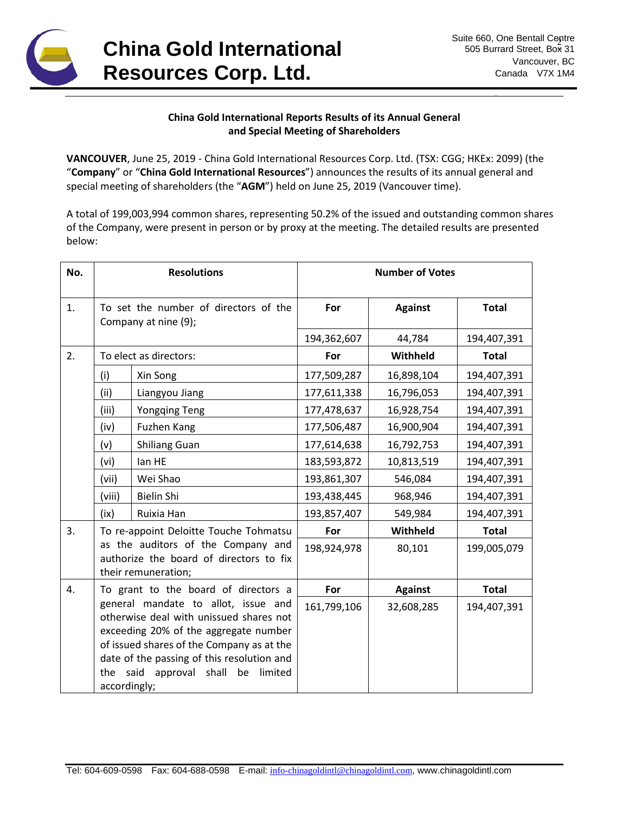

### **China Gold International Reports Results of its Annual General and Special Meeting of Shareholders**

**VANCOUVER**, June 25, 2019 - China Gold International Resources Corp. Ltd. (TSX: CGG; HKEx: 2099) (the "**Company**" or "**China Gold International Resources**") announces the results of its annual general and special meeting of shareholders (the "**AGM**") held on June 25, 2019 (Vancouver time).

A total of 199,003,994 common shares, representing 50.2% of the issued and outstanding common shares of the Company, were present in person or by proxy at the meeting. The detailed results are presented below:

| No. | <b>Resolutions</b>                                                                                                                                                                                                                                                                                                     |                      | <b>Number of Votes</b> |                |              |
|-----|------------------------------------------------------------------------------------------------------------------------------------------------------------------------------------------------------------------------------------------------------------------------------------------------------------------------|----------------------|------------------------|----------------|--------------|
| 1.  | To set the number of directors of the<br>Company at nine (9);                                                                                                                                                                                                                                                          |                      | For                    | <b>Against</b> | <b>Total</b> |
|     |                                                                                                                                                                                                                                                                                                                        |                      | 194,362,607            | 44,784         | 194,407,391  |
| 2.  | To elect as directors:                                                                                                                                                                                                                                                                                                 |                      | For                    | Withheld       | <b>Total</b> |
|     | (i)                                                                                                                                                                                                                                                                                                                    | Xin Song             | 177,509,287            | 16,898,104     | 194,407,391  |
|     | (ii)                                                                                                                                                                                                                                                                                                                   | Liangyou Jiang       | 177,611,338            | 16,796,053     | 194,407,391  |
|     | (iii)                                                                                                                                                                                                                                                                                                                  | <b>Yongqing Teng</b> | 177,478,637            | 16,928,754     | 194,407,391  |
|     | (iv)                                                                                                                                                                                                                                                                                                                   | Fuzhen Kang          | 177,506,487            | 16,900,904     | 194,407,391  |
|     | (v)                                                                                                                                                                                                                                                                                                                    | <b>Shiliang Guan</b> | 177,614,638            | 16,792,753     | 194,407,391  |
|     | (vi)                                                                                                                                                                                                                                                                                                                   | lan HE               | 183,593,872            | 10,813,519     | 194,407,391  |
|     | (vii)                                                                                                                                                                                                                                                                                                                  | Wei Shao             | 193,861,307            | 546,084        | 194,407,391  |
|     | (viii)                                                                                                                                                                                                                                                                                                                 | <b>Bielin Shi</b>    | 193,438,445            | 968,946        | 194,407,391  |
|     | (ix)                                                                                                                                                                                                                                                                                                                   | Ruixia Han           | 193,857,407            | 549,984        | 194,407,391  |
| 3.  | To re-appoint Deloitte Touche Tohmatsu                                                                                                                                                                                                                                                                                 |                      | For                    | Withheld       | <b>Total</b> |
|     | as the auditors of the Company and<br>authorize the board of directors to fix<br>their remuneration;                                                                                                                                                                                                                   |                      | 198,924,978            | 80,101         | 199,005,079  |
| 4.  | To grant to the board of directors a<br>general mandate to allot, issue and<br>otherwise deal with unissued shares not<br>exceeding 20% of the aggregate number<br>of issued shares of the Company as at the<br>date of the passing of this resolution and<br>the<br>said approval shall be<br>limited<br>accordingly; |                      | For                    | <b>Against</b> | <b>Total</b> |
|     |                                                                                                                                                                                                                                                                                                                        |                      | 161,799,106            | 32,608,285     | 194,407,391  |